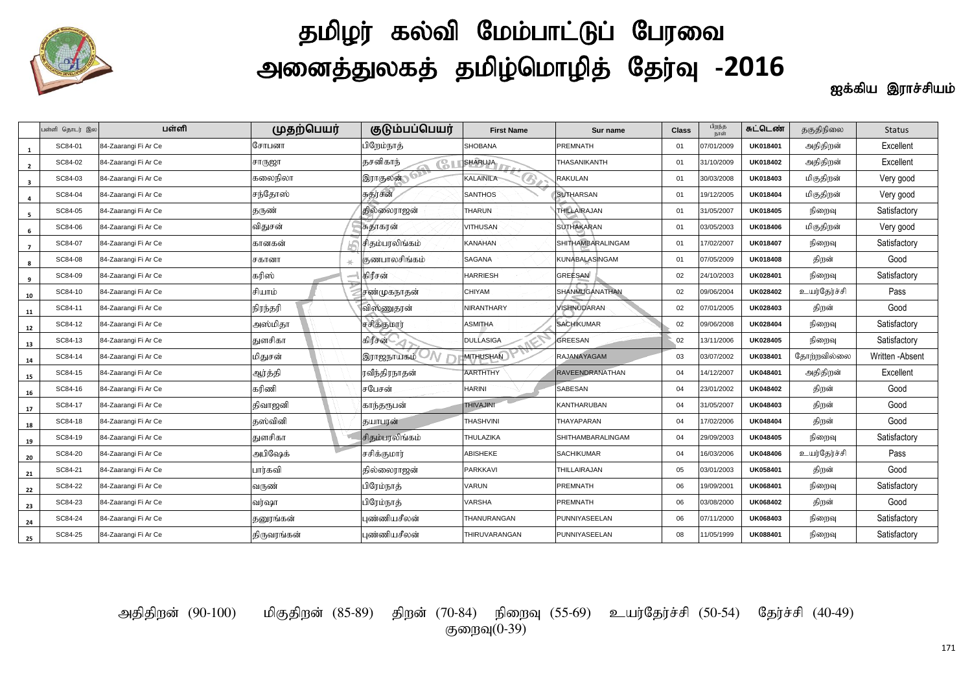

## தமிழர் கல்வி மேம்பாட்டுப் பேரவை அனைத்துலகத் தமிழ்மொழித் தேர்வு -2016

ஐக்கிய இராச்சியம்

|                         | பள்ளி தொடர் இல | பள்ளி                | முதற்பெயர்  | குடும்பப்பெயர்        | <b>First Name</b>                | Sur name               | <b>Class</b> | பிறந்த<br>நாள் | சுட்டெண்        | தகுதிநிலை    | <b>Status</b>    |
|-------------------------|----------------|----------------------|-------------|-----------------------|----------------------------------|------------------------|--------------|----------------|-----------------|--------------|------------------|
| 1                       | SC84-01        | 84-Zaarangi Fi Ar Ce | சோபனா       | பிறேம்நாத்            | <b>SHOBANA</b>                   | PREMNATH               | 01           | 07/01/2009     | UK018401        | அதிதிறன்     | Excellent        |
| $\overline{2}$          | SC84-02        | 84-Zaarangi Fi Ar Ce | சாருஜா      | தசனிகாந்<br>G         | <b>SHARUJA</b>                   | THASANIKANTH           | 01           | 31/10/2009     | UK018402        | அதிதிறன்     | Excellent        |
| $\overline{\mathbf{3}}$ | SC84-03        | 84-Zaarangi Fi Ar Ce | கலைநிலா     | <b>இராதலன் செ</b>     | <sup>®</sup><br><b>KALAINILA</b> | <b>RAKULAN</b>         | 01           | 30/03/2008     | UK018403        | மிகுதிறன்    | Very good        |
| 4                       | SC84-04        | 84-Zaarangi Fi Ar Ce | சந்தோஸ்     | சுதர்சன்              | <b>SANTHOS</b>                   | <b>SUTHARSAN</b>       | 01           | 19/12/2005     | UK018404        | மிகுதிறன்    | Very good        |
| 5                       | SC84-05        | 84-Zaarangi Fi Ar Ce | தருண்       | தில்லைராஜன்           | <b>THARUN</b>                    | THILLAIRAJAN           | 01           | 31/05/2007     | UK018405        | நிறைவு       | Satisfactory     |
| 6                       | SC84-06        | 84-Zaarangi Fi Ar Ce | விதுசன்     | சுதாகரன்              | VITHUSAN                         | <b>SUTHAKARAN</b>      | 01           | 03/05/2003     | UK018406        | மிகுதிறன்    | Very good        |
| $\overline{7}$          | SC84-07        | 84-Zaarangi Fi Ar Ce | கானகன்      | சிதம்பரலிங்கம்        | KANAHAN                          | SHITHAMBARALINGAM      | 01           | 17/02/2007     | UK018407        | நிறைவு       | Satisfactory     |
| 8                       | SC84-08        | 84-Zaarangi Fi Ar Ce | சகானா       | குணபாலசிங்கம்         | SAGANA                           | KUNABALASINGAM         | 01           | 07/05/2009     | <b>UK018408</b> | திறன்        | Good             |
| 9                       | SC84-09        | 84-Zaarangi Fi Ar Ce | கரிஸ்       | கிரீசன்               | <b>HARRIESH</b>                  | GREESAN                | 02           | 24/10/2003     | UK028401        | நிறைவு       | Satisfactory     |
| 10                      | SC84-10        | 84-Zaarangi Fi Ar Ce | சியாம்      | சண்முகநாதன்           | CHIYAM                           | SHANMUGANATHAN         | 02           | 09/06/2004     | UK028402        | உயர்தேர்ச்சி | Pass             |
| 11                      | SC84-11        | 84-Zaarangi Fi Ar Ce | நிரந்தரி    | விஸ்ணுதரன்            | NIRANTHARY                       | VISHNUDARAN            | 02           | 07/01/2005     | UK028403        | திறன்        | Good             |
| $12\,$                  | SC84-12        | 84-Zaarangi Fi Ar Ce | அஸ்மிதா     | சசிக்குமார்           | ASMITHA                          | <b>SACHIKUMAR</b>      | 02           | 09/06/2008     | UK028404        | நிறைவு       | Satisfactory     |
| 13                      | SC84-13        | 84-Zaarangi Fi Ar Ce | துளசிகா     | கிரீசன்               | DULLASIGA                        | GREESAN                | 02           | 13/11/2006     | UK028405        | நிறைவு       | Satisfactory     |
| 14                      | SC84-14        | 84-Zaarangi Fi Ar Ce | மிதுசன்     | இராஜநாயகம் V <i>N</i> | <b>MITHUSHAN</b>                 | RAJANAYAGAM            | 03           | 03/07/2002     | UK038401        | தோற்றவில்லை  | Written - Absent |
| 15                      | SC84-15        | 84-Zaarangi Fi Ar Ce | ஆர்த்தி     | ரவீந்திரநாதன்         | <b>AARTHTHY</b>                  | <b>RAVEENDRANATHAN</b> | 04           | 14/12/2007     | UK048401        | அதிதிறன்     | Excellent        |
| 16                      | SC84-16        | 84-Zaarangi Fi Ar Ce | கரிணி       | சபேசன்                | HARINI                           | SABESAN                | 04           | 23/01/2002     | UK048402        | திறன்        | Good             |
| 17                      | SC84-17        | 84-Zaarangi Fi Ar Ce | திவாஜனி     | காந்தருபன்            | THIVAJINI                        | KANTHARUBAN            | 04           | 31/05/2007     | UK048403        | திறன்        | Good             |
| 18                      | SC84-18        | 84-Zaarangi Fi Ar Ce | தஸ்வினி     | தயாபரன்               | THASHVINI                        | THAYAPARAN             | 04           | 17/02/2006     | UK048404        | திறன்        | Good             |
| 19                      | SC84-19        | 84-Zaarangi Fi Ar Ce | துளசிகா     | சிதம்பரலிங்கம்        | THULAZIKA                        | SHITHAMBARALINGAM      | 04           | 29/09/2003     | UK048405        | நிறைவு       | Satisfactory     |
| 20                      | SC84-20        | 84-Zaarangi Fi Ar Ce | அபிஷேக்     | சசிக்குமார்           | ABISHEKE                         | <b>SACHIKUMAR</b>      | 04           | 16/03/2006     | <b>UK048406</b> | உயர்தேர்ச்சி | Pass             |
| 21                      | SC84-21        | 84-Zaarangi Fi Ar Ce | பார்கவி     | தில்லைராஜன்           | PARKKAVI                         | THILLAIRAJAN           | 05           | 03/01/2003     | UK058401        | திறன்        | Good             |
| 22                      | SC84-22        | 84-Zaarangi Fi Ar Ce | வருண்       | பிரேம்நாத்            | VARUN                            | PREMNATH               | 06           | 19/09/2001     | <b>UK068401</b> | நிறைவு       | Satisfactory     |
| 23                      | SC84-23        | 84-Zaarangi Fi Ar Ce | வர்ஷா       | பிரேம்நாத்            | VARSHA                           | PREMNATH               | 06           | 03/08/2000     | UK068402        | திறன்        | Good             |
| 24                      | SC84-24        | 84-Zaarangi Fi Ar Ce | தனூங்கன்    | புண்ணியசீலன்          | THANURANGAN                      | PUNNIYASEELAN          | 06           | 07/11/2000     | UK068403        | நிறைவு       | Satisfactory     |
| 25                      | SC84-25        | 84-Zaarangi Fi Ar Ce | திருவரங்கன் | புண்ணியசீலன்          | THIRUVARANGAN                    | PUNNIYASEELAN          | 08           | 11/05/1999     | UK088401        | நிறைவு       | Satisfactory     |

அதிதிறன் (90-100) மிகுதிறன் (85-89) திறன் (70-84) நிறைவு (55-69) உயர்தேர்ச்சி (50-54) தேர்ச்சி (40-49) குறைவு $(0-39)$